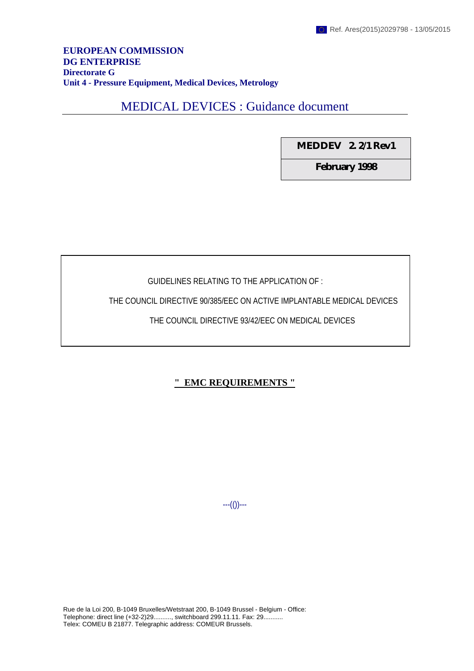#### **EUROPEAN COMMISSION DG ENTERPRISE Directorate G Unit 4 - Pressure Equipment, Medical Devices, Metrology**

# MEDICAL DEVICES : Guidance document

**MEDDEV 2. 2/1 Rev1**

**February 1998**

### GUIDELINES RELATING TO THE APPLICATION OF :

THE COUNCIL DIRECTIVE 90/385/EEC ON ACTIVE IMPLANTABLE MEDICAL DEVICES

### THE COUNCIL DIRECTIVE 93/42/EEC ON MEDICAL DEVICES

# **" EMC REQUIREMENTS "**

---(())---

Rue de la Loi 200, B-1049 Bruxelles/Wetstraat 200, B-1049 Brussel - Belgium - Office: Telephone: direct line (+32-2)29.........., switchboard 299.11.11. Fax: 29........... Telex: COMEU B 21877. Telegraphic address: COMEUR Brussels.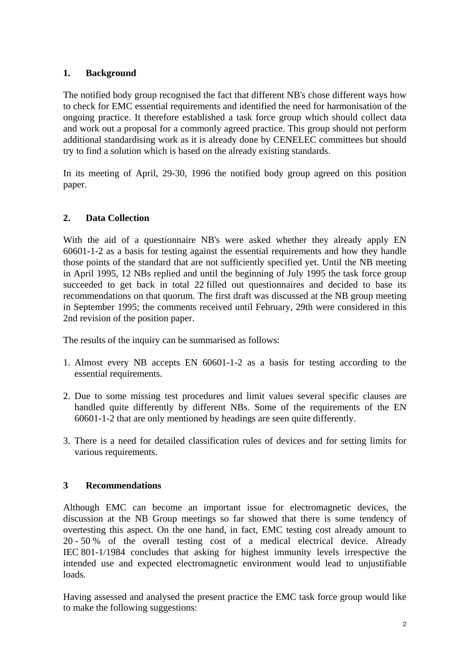# **1. Background**

The notified body group recognised the fact that different NB's chose different ways how to check for EMC essential requirements and identified the need for harmonisation of the ongoing practice. It therefore established a task force group which should collect data and work out a proposal for a commonly agreed practice. This group should not perform additional standardising work as it is already done by CENELEC committees but should try to find a solution which is based on the already existing standards.

In its meeting of April, 29-30, 1996 the notified body group agreed on this position paper.

### **2. Data Collection**

With the aid of a questionnaire NB's were asked whether they already apply EN 60601-1-2 as a basis for testing against the essential requirements and how they handle those points of the standard that are not sufficiently specified yet. Until the NB meeting in April 1995, 12 NBs replied and until the beginning of July 1995 the task force group succeeded to get back in total 22 filled out questionnaires and decided to base its recommendations on that quorum. The first draft was discussed at the NB group meeting in September 1995; the comments received until February, 29th were considered in this 2nd revision of the position paper.

The results of the inquiry can be summarised as follows:

- 1. Almost every NB accepts EN 60601-1-2 as a basis for testing according to the essential requirements.
- 2. Due to some missing test procedures and limit values several specific clauses are handled quite differently by different NBs. Some of the requirements of the EN 60601-1-2 that are only mentioned by headings are seen quite differently.
- 3. There is a need for detailed classification rules of devices and for setting limits for various requirements.

### **3 Recommendations**

Although EMC can become an important issue for electromagnetic devices, the discussion at the NB Group meetings so far showed that there is some tendency of overtesting this aspect. On the one hand, in fact, EMC testing cost already amount to 20 - 50 % of the overall testing cost of a medical electrical device. Already IEC 801-1/1984 concludes that asking for highest immunity levels irrespective the intended use and expected electromagnetic environment would lead to unjustifiable loads.

Having assessed and analysed the present practice the EMC task force group would like to make the following suggestions: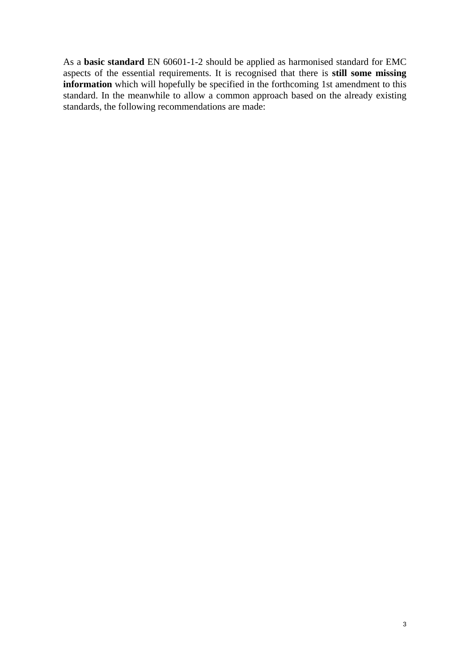As a **basic standard** EN 60601-1-2 should be applied as harmonised standard for EMC aspects of the essential requirements. It is recognised that there is **still some missing information** which will hopefully be specified in the forthcoming 1st amendment to this standard. In the meanwhile to allow a common approach based on the already existing standards, the following recommendations are made: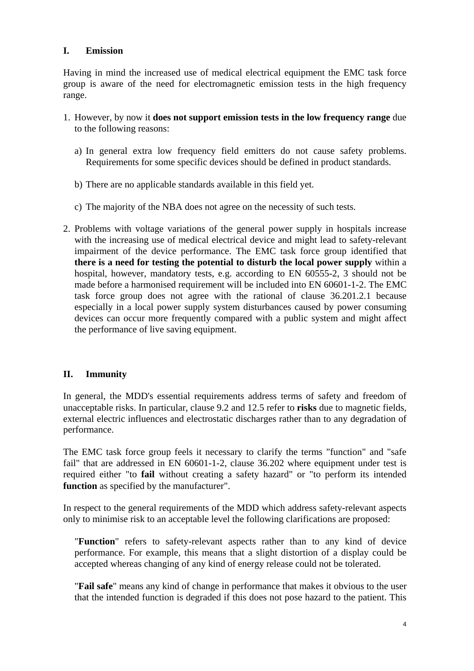### **I. Emission**

Having in mind the increased use of medical electrical equipment the EMC task force group is aware of the need for electromagnetic emission tests in the high frequency range.

- 1. However, by now it **does not support emission tests in the low frequency range** due to the following reasons:
	- a) In general extra low frequency field emitters do not cause safety problems. Requirements for some specific devices should be defined in product standards.
	- b) There are no applicable standards available in this field yet.
	- c) The majority of the NBA does not agree on the necessity of such tests.
- 2. Problems with voltage variations of the general power supply in hospitals increase with the increasing use of medical electrical device and might lead to safety-relevant impairment of the device performance. The EMC task force group identified that **there is a need for testing the potential to disturb the local power supply** within a hospital, however, mandatory tests, e.g. according to EN 60555-2, 3 should not be made before a harmonised requirement will be included into EN 60601-1-2. The EMC task force group does not agree with the rational of clause 36.201.2.1 because especially in a local power supply system disturbances caused by power consuming devices can occur more frequently compared with a public system and might affect the performance of live saving equipment.

#### **II. Immunity**

In general, the MDD's essential requirements address terms of safety and freedom of unacceptable risks. In particular, clause 9.2 and 12.5 refer to **risks** due to magnetic fields, external electric influences and electrostatic discharges rather than to any degradation of performance.

The EMC task force group feels it necessary to clarify the terms "function" and "safe fail" that are addressed in EN 60601-1-2, clause 36.202 where equipment under test is required either "to **fail** without creating a safety hazard" or "to perform its intended **function** as specified by the manufacturer".

In respect to the general requirements of the MDD which address safety-relevant aspects only to minimise risk to an acceptable level the following clarifications are proposed:

"**Function**" refers to safety-relevant aspects rather than to any kind of device performance. For example, this means that a slight distortion of a display could be accepted whereas changing of any kind of energy release could not be tolerated.

"**Fail safe**" means any kind of change in performance that makes it obvious to the user that the intended function is degraded if this does not pose hazard to the patient. This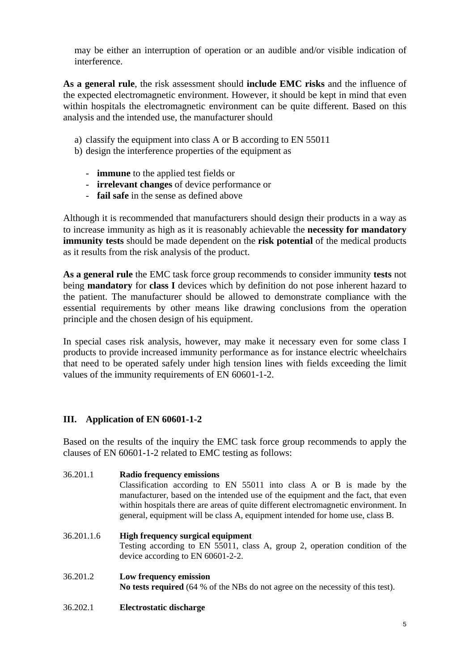may be either an interruption of operation or an audible and/or visible indication of interference.

**As a general rule**, the risk assessment should **include EMC risks** and the influence of the expected electromagnetic environment. However, it should be kept in mind that even within hospitals the electromagnetic environment can be quite different. Based on this analysis and the intended use, the manufacturer should

- a) classify the equipment into class A or B according to EN 55011
- b) design the interference properties of the equipment as
	- **immune** to the applied test fields or
	- **irrelevant changes** of device performance or
	- **fail safe** in the sense as defined above

Although it is recommended that manufacturers should design their products in a way as to increase immunity as high as it is reasonably achievable the **necessity for mandatory immunity tests** should be made dependent on the **risk potential** of the medical products as it results from the risk analysis of the product.

**As a general rule** the EMC task force group recommends to consider immunity **tests** not being **mandatory** for **class I** devices which by definition do not pose inherent hazard to the patient. The manufacturer should be allowed to demonstrate compliance with the essential requirements by other means like drawing conclusions from the operation principle and the chosen design of his equipment.

In special cases risk analysis, however, may make it necessary even for some class I products to provide increased immunity performance as for instance electric wheelchairs that need to be operated safely under high tension lines with fields exceeding the limit values of the immunity requirements of EN 60601-1-2.

### **III. Application of EN 60601-1-2**

Based on the results of the inquiry the EMC task force group recommends to apply the clauses of EN 60601-1-2 related to EMC testing as follows:

- 36.201.1 **Radio frequency emissions** Classification according to EN 55011 into class A or B is made by the manufacturer, based on the intended use of the equipment and the fact, that even within hospitals there are areas of quite different electromagnetic environment. In general, equipment will be class A, equipment intended for home use, class B.
- 36.201.1.6 **High frequency surgical equipment** Testing according to EN 55011, class A, group 2, operation condition of the device according to EN 60601-2-2.
- 36.201.2 **Low frequency emission No tests required** (64 % of the NBs do not agree on the necessity of this test).
- 36.202.1 **Electrostatic discharge**